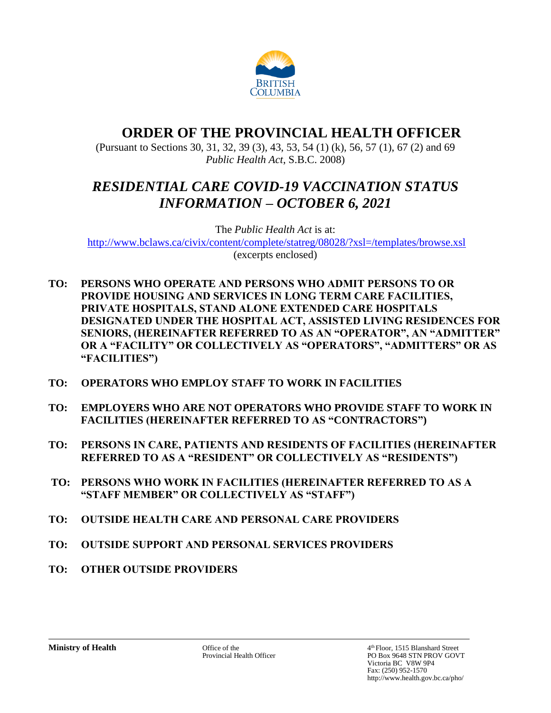

# **ORDER OF THE PROVINCIAL HEALTH OFFICER**

(Pursuant to Sections 30, 31, 32, 39 (3), 43, 53, 54 (1) (k), 56, 57 (1), 67 (2) and 69 *Public Health Act*, S.B.C. 2008)

# *RESIDENTIAL CARE COVID-19 VACCINATION STATUS INFORMATION – OCTOBER 6, 2021*

The *Public Health Act* is at: <http://www.bclaws.ca/civix/content/complete/statreg/08028/?xsl=/templates/browse.xsl> (excerpts enclosed)

- **TO: PERSONS WHO OPERATE AND PERSONS WHO ADMIT PERSONS TO OR PROVIDE HOUSING AND SERVICES IN LONG TERM CARE FACILITIES, PRIVATE HOSPITALS, STAND ALONE EXTENDED CARE HOSPITALS DESIGNATED UNDER THE HOSPITAL ACT, ASSISTED LIVING RESIDENCES FOR SENIORS, (HEREINAFTER REFERRED TO AS AN "OPERATOR", AN "ADMITTER" OR A "FACILITY" OR COLLECTIVELY AS "OPERATORS", "ADMITTERS" OR AS "FACILITIES")**
- **TO: OPERATORS WHO EMPLOY STAFF TO WORK IN FACILITIES**
- **TO: EMPLOYERS WHO ARE NOT OPERATORS WHO PROVIDE STAFF TO WORK IN FACILITIES (HEREINAFTER REFERRED TO AS "CONTRACTORS")**
- **TO: PERSONS IN CARE, PATIENTS AND RESIDENTS OF FACILITIES (HEREINAFTER REFERRED TO AS A "RESIDENT" OR COLLECTIVELY AS "RESIDENTS")**
- **TO: PERSONS WHO WORK IN FACILITIES (HEREINAFTER REFERRED TO AS A "STAFF MEMBER" OR COLLECTIVELY AS "STAFF")**
- **TO: OUTSIDE HEALTH CARE AND PERSONAL CARE PROVIDERS**
- **TO: OUTSIDE SUPPORT AND PERSONAL SERVICES PROVIDERS**
- **TO: OTHER OUTSIDE PROVIDERS**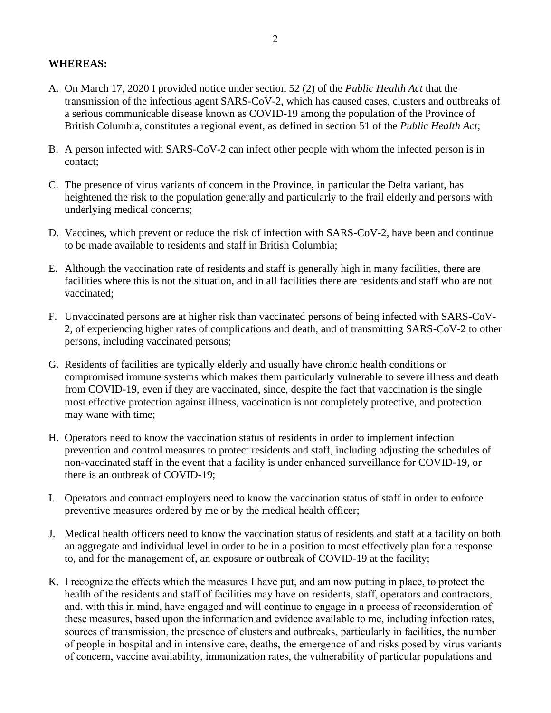## **WHEREAS:**

- A. On March 17, 2020 I provided notice under section 52 (2) of the *Public Health Act* that the transmission of the infectious agent SARS-CoV-2, which has caused cases, clusters and outbreaks of a serious communicable disease known as COVID-19 among the population of the Province of British Columbia, constitutes a regional event, as defined in section 51 of the *Public Health Act*;
- B. A person infected with SARS-CoV-2 can infect other people with whom the infected person is in contact;
- C. The presence of virus variants of concern in the Province, in particular the Delta variant, has heightened the risk to the population generally and particularly to the frail elderly and persons with underlying medical concerns;
- D. Vaccines, which prevent or reduce the risk of infection with SARS-CoV-2, have been and continue to be made available to residents and staff in British Columbia;
- E. Although the vaccination rate of residents and staff is generally high in many facilities, there are facilities where this is not the situation, and in all facilities there are residents and staff who are not vaccinated;
- F. Unvaccinated persons are at higher risk than vaccinated persons of being infected with SARS-CoV-2, of experiencing higher rates of complications and death, and of transmitting SARS-CoV-2 to other persons, including vaccinated persons;
- G. Residents of facilities are typically elderly and usually have chronic health conditions or compromised immune systems which makes them particularly vulnerable to severe illness and death from COVID-19, even if they are vaccinated, since, despite the fact that vaccination is the single most effective protection against illness, vaccination is not completely protective, and protection may wane with time;
- H. Operators need to know the vaccination status of residents in order to implement infection prevention and control measures to protect residents and staff, including adjusting the schedules of non-vaccinated staff in the event that a facility is under enhanced surveillance for COVID-19, or there is an outbreak of COVID-19;
- I. Operators and contract employers need to know the vaccination status of staff in order to enforce preventive measures ordered by me or by the medical health officer;
- J. Medical health officers need to know the vaccination status of residents and staff at a facility on both an aggregate and individual level in order to be in a position to most effectively plan for a response to, and for the management of, an exposure or outbreak of COVID-19 at the facility;
- K. I recognize the effects which the measures I have put, and am now putting in place, to protect the health of the residents and staff of facilities may have on residents, staff, operators and contractors, and, with this in mind, have engaged and will continue to engage in a process of reconsideration of these measures, based upon the information and evidence available to me, including infection rates, sources of transmission, the presence of clusters and outbreaks, particularly in facilities, the number of people in hospital and in intensive care, deaths, the emergence of and risks posed by virus variants of concern, vaccine availability, immunization rates, the vulnerability of particular populations and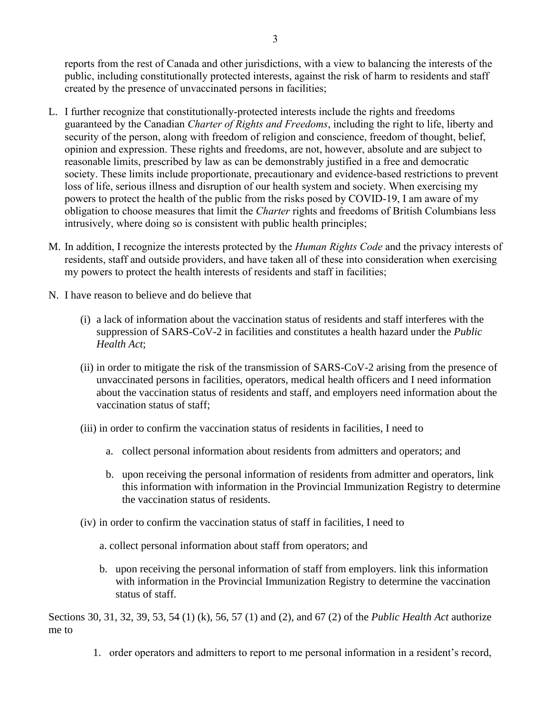reports from the rest of Canada and other jurisdictions, with a view to balancing the interests of the public, including constitutionally protected interests, against the risk of harm to residents and staff created by the presence of unvaccinated persons in facilities;

- L. I further recognize that constitutionally-protected interests include the rights and freedoms guaranteed by the Canadian *Charter of Rights and Freedoms*, including the right to life, liberty and security of the person, along with freedom of religion and conscience, freedom of thought, belief, opinion and expression. These rights and freedoms, are not, however, absolute and are subject to reasonable limits, prescribed by law as can be demonstrably justified in a free and democratic society. These limits include proportionate, precautionary and evidence-based restrictions to prevent loss of life, serious illness and disruption of our health system and society. When exercising my powers to protect the health of the public from the risks posed by COVID-19, I am aware of my obligation to choose measures that limit the *Charter* rights and freedoms of British Columbians less intrusively, where doing so is consistent with public health principles;
- M. In addition, I recognize the interests protected by the *Human Rights Code* and the privacy interests of residents, staff and outside providers, and have taken all of these into consideration when exercising my powers to protect the health interests of residents and staff in facilities;
- N. I have reason to believe and do believe that
	- (i) a lack of information about the vaccination status of residents and staff interferes with the suppression of SARS-CoV-2 in facilities and constitutes a health hazard under the *Public Health Act*;
	- (ii) in order to mitigate the risk of the transmission of SARS-CoV-2 arising from the presence of unvaccinated persons in facilities, operators, medical health officers and I need information about the vaccination status of residents and staff, and employers need information about the vaccination status of staff;
	- (iii) in order to confirm the vaccination status of residents in facilities, I need to
		- a. collect personal information about residents from admitters and operators; and
		- b. upon receiving the personal information of residents from admitter and operators, link this information with information in the Provincial Immunization Registry to determine the vaccination status of residents.
	- (iv) in order to confirm the vaccination status of staff in facilities, I need to
		- a. collect personal information about staff from operators; and
		- b. upon receiving the personal information of staff from employers. link this information with information in the Provincial Immunization Registry to determine the vaccination status of staff.

Sections 30, 31, 32, 39, 53, 54 (1) (k), 56, 57 (1) and (2), and 67 (2) of the *Public Health Act* authorize me to

1. order operators and admitters to report to me personal information in a resident's record,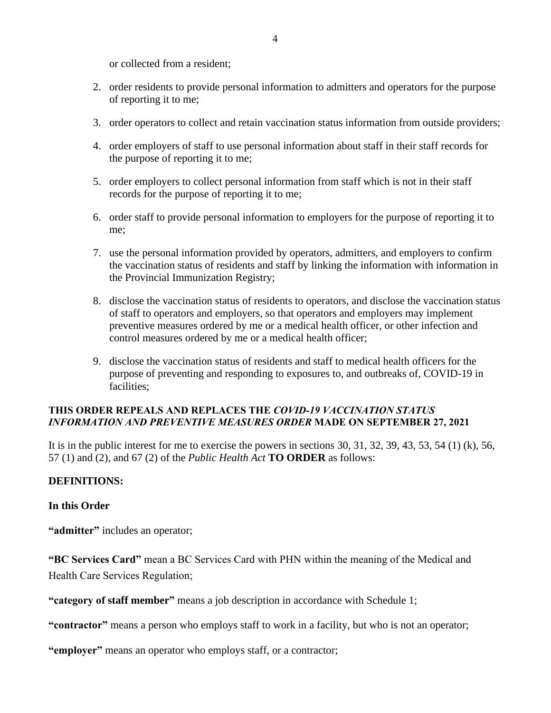or collected from a resident;

- 2. order residents to provide personal information to admitters and operators for the purpose of reporting it to me;
- 3. order operators to collect and retain vaccination status information from outside providers;
- 4. order employers of staff to use personal information about staff in their staff records for the purpose of reporting it to me;
- 5. order employers to collect personal information from staff which is not in their staff records for the purpose of reporting it to me;
- 6. order staff to provide personal information to employers for the purpose of reporting it to me;
- 7. use the personal information provided by operators, admitters, and employers to confirm the vaccination status of residents and staff by linking the information with information in the Provincial Immunization Registry;
- 8. disclose the vaccination status of residents to operators, and disclose the vaccination status of staff to operators and employers, so that operators and employers may implement preventive measures ordered by me or a medical health officer, or other infection and control measures ordered by me or a medical health officer;
- 9. disclose the vaccination status of residents and staff to medical health officers for the purpose of preventing and responding to exposures to, and outbreaks of, COVID-19 in facilities;

## **THIS ORDER REPEALS AND REPLACES THE** *COVID-19 VACCINATION STATUS INFORMATION AND PREVENTIVE MEASURES ORDER* **MADE ON SEPTEMBER 27, 2021**

It is in the public interest for me to exercise the powers in sections 30, 31, 32, 39, 43, 53, 54 (1) (k), 56, 57 (1) and (2), and 67 (2) of the *Public Health Act* **TO ORDER** as follows:

### **DEFINITIONS:**

### **In this Order**

**"admitter"** includes an operator;

**"BC Services Card"** mean a BC Services Card with PHN within the meaning of the Medical and Health Care Services Regulation;

**"category of staff member"** means a job description in accordance with Schedule 1;

**"contractor"** means a person who employs staff to work in a facility, but who is not an operator;

**"employer"** means an operator who employs staff, or a contractor;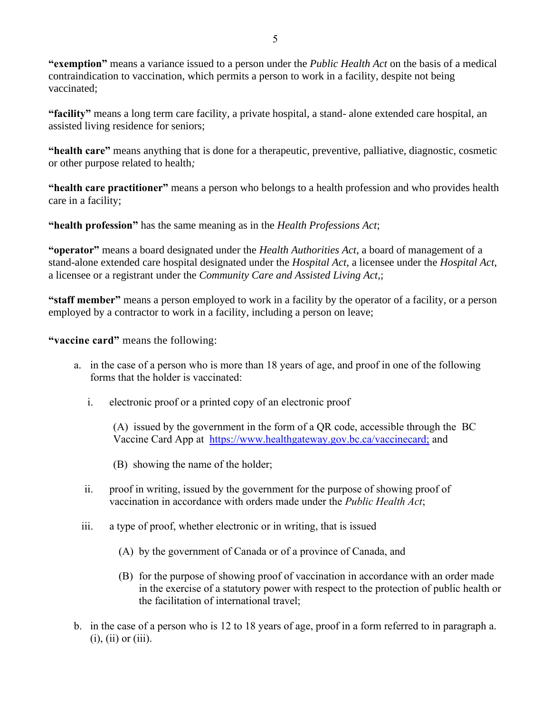**"exemption"** means a variance issued to a person under the *Public Health Act* on the basis of a medical contraindication to vaccination, which permits a person to work in a facility, despite not being vaccinated;

**"facility"** means a long term care facility, a private hospital, a stand- alone extended care hospital, an assisted living residence for seniors;

**"health care"** means anything that is done for a therapeutic, preventive, palliative, diagnostic, cosmetic or other purpose related to health*;*

**"health care practitioner"** means a person who belongs to a health profession and who provides health care in a facility;

**"health profession"** has the same meaning as in the *Health Professions Act*;

**"operator"** means a board designated under the *Health Authorities Act*, a board of management of a stand-alone extended care hospital designated under the *Hospital Act*, a licensee under the *Hospital Act*, a licensee or a registrant under the *Community Care and Assisted Living Act,*;

**"staff member"** means a person employed to work in a facility by the operator of a facility, or a person employed by a contractor to work in a facility, including a person on leave;

**"vaccine card"** means the following:

- a. in the case of a person who is more than 18 years of age, and proof in one of the following forms that the holder is vaccinated:
	- i. electronic proof or a printed copy of an electronic proof

(A) issued by the government in the form of a QR code, accessible through the BC Vaccine Card App at [https://www.healthgateway.gov.bc.ca/vaccinecard;](https://www.healthgateway.gov.bc.ca/vaccinecard) and

(B) showing the name of the holder;

- ii. proof in writing, issued by the government for the purpose of showing proof of vaccination in accordance with orders made under the *Public Health Act*;
- iii. a type of proof, whether electronic or in writing, that is issued
	- (A) by the government of Canada or of a province of Canada, and
	- (B) for the purpose of showing proof of vaccination in accordance with an order made in the exercise of a statutory power with respect to the protection of public health or the facilitation of international travel;
- b. in the case of a person who is 12 to 18 years of age, proof in a form referred to in paragraph a.  $(i)$ ,  $(ii)$  or  $(iii)$ .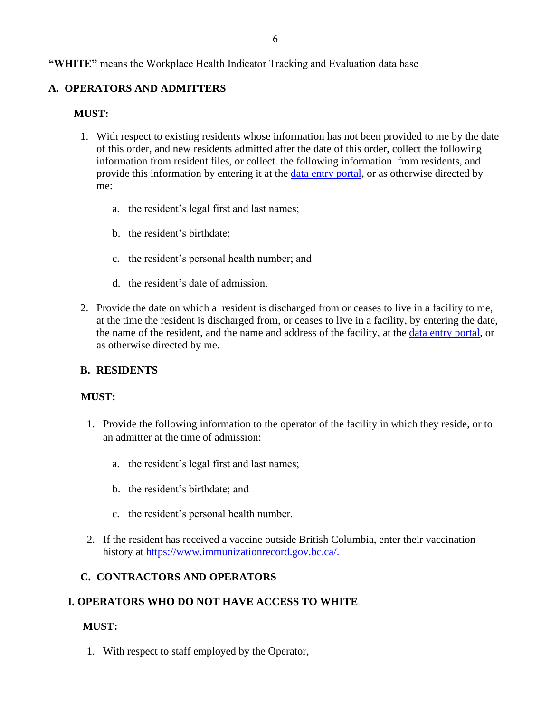**"WHITE"** means the Workplace Health Indicator Tracking and Evaluation data base

## **A. OPERATORS AND ADMITTERS**

### **MUST:**

- 1. With respect to existing residents whose information has not been provided to me by the date of this order, and new residents admitted after the date of this order, collect the following information from resident files, or collect the following information from residents, and provide this information by entering it at the [data entry portal,](https://ltcemployers.gov.bc.ca/) or as otherwise directed by me:
	- a. the resident's legal first and last names;
	- b. the resident's birthdate;
	- c. the resident's personal health number; and
	- d. the resident's date of admission.
- 2. Provide the date on which a resident is discharged from or ceases to live in a facility to me, at the time the resident is discharged from, or ceases to live in a facility, by entering the date, the name of the resident, and the name and address of the facility, at the [data entry portal,](https://ltcemployers.gov.bc.ca/) or as otherwise directed by me.

### **B. RESIDENTS**

### **MUST:**

- 1. Provide the following information to the operator of the facility in which they reside, or to an admitter at the time of admission:
	- a. the resident's legal first and last names;
	- b. the resident's birthdate; and
	- c. the resident's personal health number.
- 2. If the resident has received a vaccine outside British Columbia, enter their vaccination history at [https://www.immunizationrecord.gov.bc.ca/.](https://www.immunizationrecord.gov.bc.ca/)

## **C. CONTRACTORS AND OPERATORS**

### **I. OPERATORS WHO DO NOT HAVE ACCESS TO WHITE**

### **MUST:**

1. With respect to staff employed by the Operator,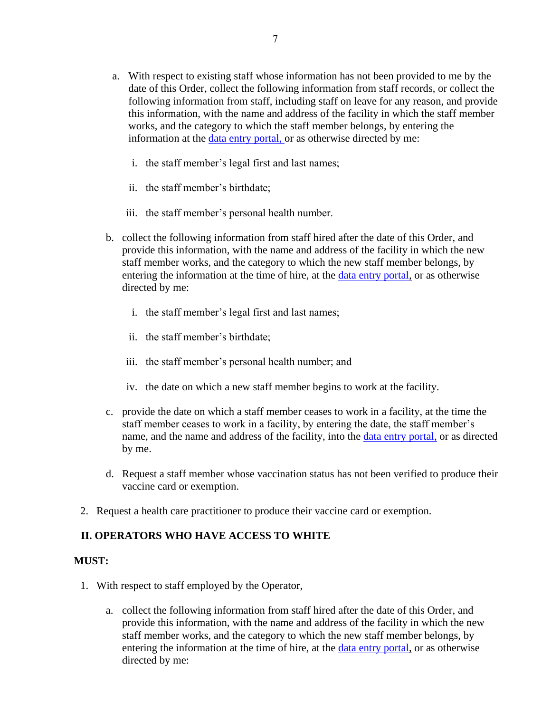- a. With respect to existing staff whose information has not been provided to me by the date of this Order, collect the following information from staff records, or collect the following information from staff, including staff on leave for any reason, and provide this information, with the name and address of the facility in which the staff member works, and the category to which the staff member belongs, by entering the information at the [data entry portal,](https://ltcemployers.gov.bc.ca/) or as otherwise directed by me:
	- i. the staff member's legal first and last names;
	- ii. the staff member's birthdate;
	- iii. the staff member's personal health number.
- b. collect the following information from staff hired after the date of this Order, and provide this information, with the name and address of the facility in which the new staff member works, and the category to which the new staff member belongs, by entering the information at the time of hire, at the [data entry portal,](https://ltcemployers.gov.bc.ca/) or as otherwise directed by me:
	- i. the staff member's legal first and last names;
	- ii. the staff member's birthdate;
	- iii. the staff member's personal health number; and
	- iv. the date on which a new staff member begins to work at the facility.
- c. provide the date on which a staff member ceases to work in a facility, at the time the staff member ceases to work in a facility, by entering the date, the staff member's name, and the name and address of the facility, into the [data entry portal,](https://ltcemployers.gov.bc.ca/) or as directed by me.
- d. Request a staff member whose vaccination status has not been verified to produce their vaccine card or exemption.
- 2. Request a health care practitioner to produce their vaccine card or exemption.

## **II. OPERATORS WHO HAVE ACCESS TO WHITE**

### **MUST:**

- 1. With respect to staff employed by the Operator,
	- a. collect the following information from staff hired after the date of this Order, and provide this information, with the name and address of the facility in which the new staff member works, and the category to which the new staff member belongs, by entering the information at the time of hire, at the [data entry portal,](https://ltcemployers.gov.bc.ca/) or as otherwise directed by me: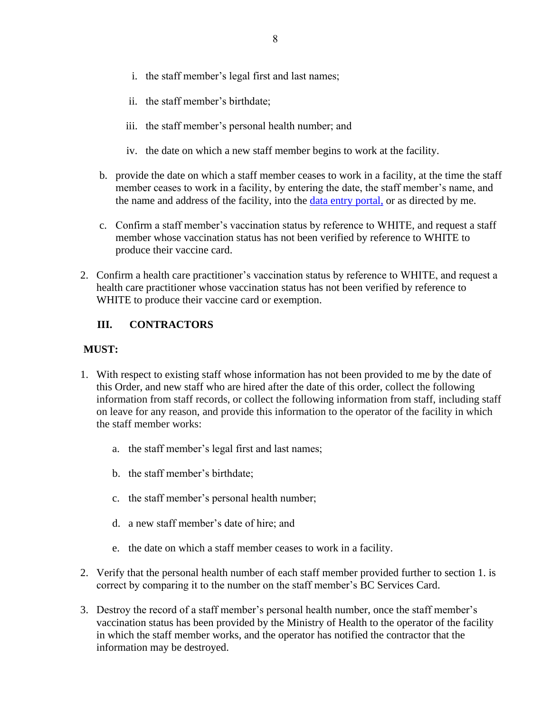- i. the staff member's legal first and last names;
- ii. the staff member's birthdate;
- iii. the staff member's personal health number; and
- iv. the date on which a new staff member begins to work at the facility.
- b. provide the date on which a staff member ceases to work in a facility, at the time the staff member ceases to work in a facility, by entering the date, the staff member's name, and the name and address of the facility, into the [data entry portal,](https://ltcemployers.gov.bc.ca/) or as directed by me.
- c. Confirm a staff member's vaccination status by reference to WHITE, and request a staff member whose vaccination status has not been verified by reference to WHITE to produce their vaccine card.
- 2. Confirm a health care practitioner's vaccination status by reference to WHITE, and request a health care practitioner whose vaccination status has not been verified by reference to WHITE to produce their vaccine card or exemption.

## **III. CONTRACTORS**

## **MUST:**

- 1. With respect to existing staff whose information has not been provided to me by the date of this Order, and new staff who are hired after the date of this order, collect the following information from staff records, or collect the following information from staff, including staff on leave for any reason, and provide this information to the operator of the facility in which the staff member works:
	- a. the staff member's legal first and last names;
	- b. the staff member's birthdate;
	- c. the staff member's personal health number;
	- d. a new staff member's date of hire; and
	- e. the date on which a staff member ceases to work in a facility.
- 2. Verify that the personal health number of each staff member provided further to section 1. is correct by comparing it to the number on the staff member's BC Services Card.
- 3. Destroy the record of a staff member's personal health number, once the staff member's vaccination status has been provided by the Ministry of Health to the operator of the facility in which the staff member works, and the operator has notified the contractor that the information may be destroyed.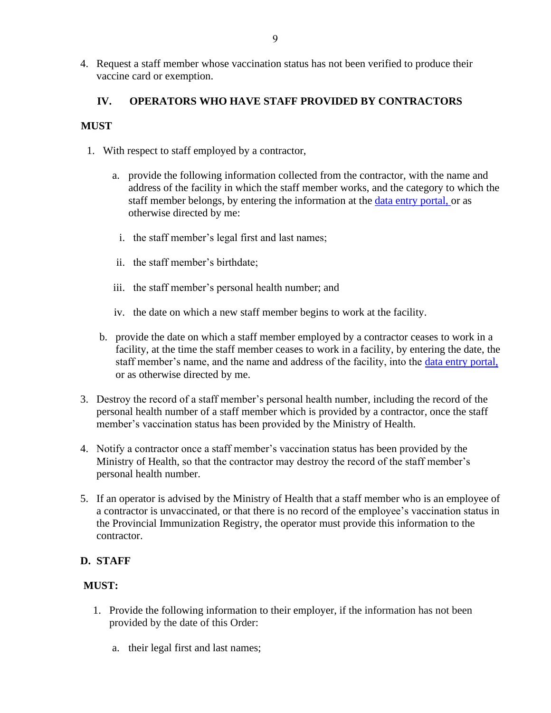4. Request a staff member whose vaccination status has not been verified to produce their vaccine card or exemption.

## **IV. OPERATORS WHO HAVE STAFF PROVIDED BY CONTRACTORS**

## **MUST**

- 1. With respect to staff employed by a contractor,
	- a. provide the following information collected from the contractor, with the name and address of the facility in which the staff member works, and the category to which the staff member belongs, by entering the information at the [data entry portal,](https://ltcemployers.gov.bc.ca/) or as otherwise directed by me:
		- i. the staff member's legal first and last names;
	- ii. the staff member's birthdate;
	- iii. the staff member's personal health number; and
	- iv. the date on which a new staff member begins to work at the facility.
	- b. provide the date on which a staff member employed by a contractor ceases to work in a facility, at the time the staff member ceases to work in a facility, by entering the date, the staff member's name, and the name and address of the facility, into the [data entry portal,](https://ltcemployers.gov.bc.ca/) or as otherwise directed by me.
- 3. Destroy the record of a staff member's personal health number, including the record of the personal health number of a staff member which is provided by a contractor, once the staff member's vaccination status has been provided by the Ministry of Health.
- 4. Notify a contractor once a staff member's vaccination status has been provided by the Ministry of Health, so that the contractor may destroy the record of the staff member's personal health number.
- 5. If an operator is advised by the Ministry of Health that a staff member who is an employee of a contractor is unvaccinated, or that there is no record of the employee's vaccination status in the Provincial Immunization Registry, the operator must provide this information to the contractor.

## **D. STAFF**

## **MUST:**

- 1. Provide the following information to their employer, if the information has not been provided by the date of this Order:
	- a. their legal first and last names;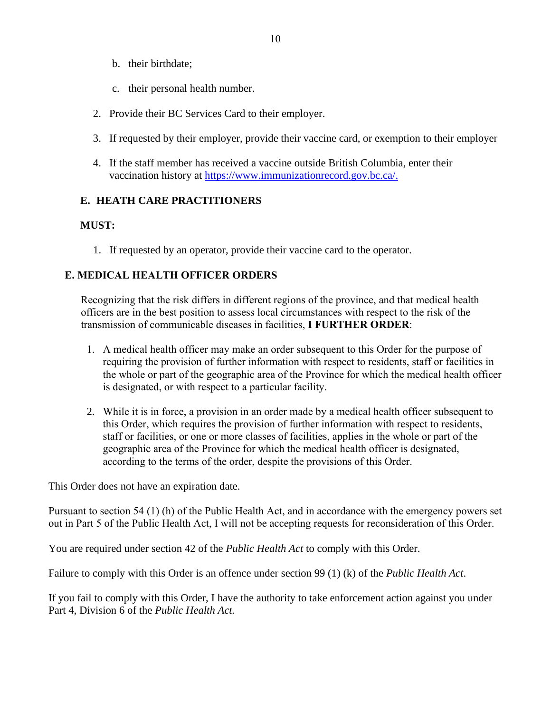- b. their birthdate;
- c. their personal health number.
- 2. Provide their BC Services Card to their employer.
- 3. If requested by their employer, provide their vaccine card, or exemption to their employer
- 4. If the staff member has received a vaccine outside British Columbia, enter their vaccination history at [https://www.immunizationrecord.gov.bc.ca/.](https://www.immunizationrecord.gov.bc.ca/)

## **E. HEATH CARE PRACTITIONERS**

## **MUST:**

1. If requested by an operator, provide their vaccine card to the operator.

## **E. MEDICAL HEALTH OFFICER ORDERS**

Recognizing that the risk differs in different regions of the province, and that medical health officers are in the best position to assess local circumstances with respect to the risk of the transmission of communicable diseases in facilities, **I FURTHER ORDER**:

- 1. A medical health officer may make an order subsequent to this Order for the purpose of requiring the provision of further information with respect to residents, staff or facilities in the whole or part of the geographic area of the Province for which the medical health officer is designated, or with respect to a particular facility.
- 2. While it is in force, a provision in an order made by a medical health officer subsequent to this Order, which requires the provision of further information with respect to residents, staff or facilities, or one or more classes of facilities, applies in the whole or part of the geographic area of the Province for which the medical health officer is designated, according to the terms of the order, despite the provisions of this Order.

This Order does not have an expiration date.

Pursuant to section 54 (1) (h) of the Public Health Act, and in accordance with the emergency powers set out in Part 5 of the Public Health Act, I will not be accepting requests for reconsideration of this Order.

You are required under section 42 of the *Public Health Act* to comply with this Order.

Failure to comply with this Order is an offence under section 99 (1) (k) of the *Public Health Act*.

If you fail to comply with this Order, I have the authority to take enforcement action against you under Part 4, Division 6 of the *Public Health Act.*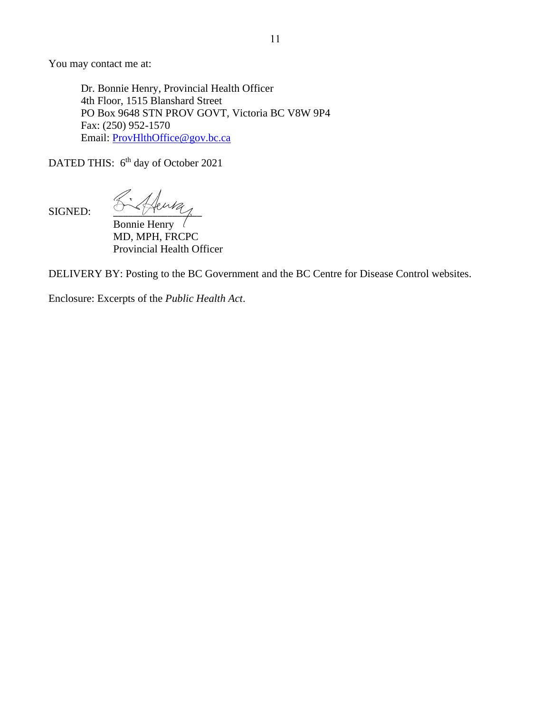You may contact me at:

Dr. Bonnie Henry, Provincial Health Officer 4th Floor, 1515 Blanshard Street PO Box 9648 STN PROV GOVT, Victoria BC V8W 9P4 Fax: (250) 952-1570 Email: [ProvHlthOffice@gov.bc.ca](mailto:ProvHlthOffice@gov.bc.ca)

DATED THIS: 6<sup>th</sup> day of October 2021

SIGNED:  $\frac{\sqrt{2}}{2\sqrt{4\pi}}$ 

Bonnie Henry MD, MPH, FRCPC Provincial Health Officer

DELIVERY BY: Posting to the BC Government and the BC Centre for Disease Control websites.

Enclosure: Excerpts of the *Public Health Act*.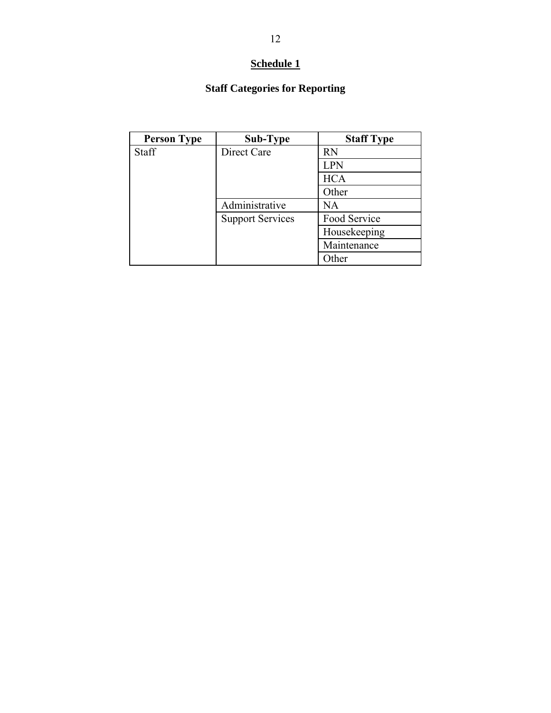## **Schedule 1**

## **Staff Categories for Reporting**

| <b>Person Type</b> | Sub-Type                | <b>Staff Type</b> |
|--------------------|-------------------------|-------------------|
| Staff              | Direct Care             | <b>RN</b>         |
|                    |                         | <b>LPN</b>        |
|                    |                         | <b>HCA</b>        |
|                    |                         | Other             |
|                    | Administrative          | NA                |
|                    | <b>Support Services</b> | Food Service      |
|                    |                         | Housekeeping      |
|                    |                         | Maintenance       |
|                    |                         | Other             |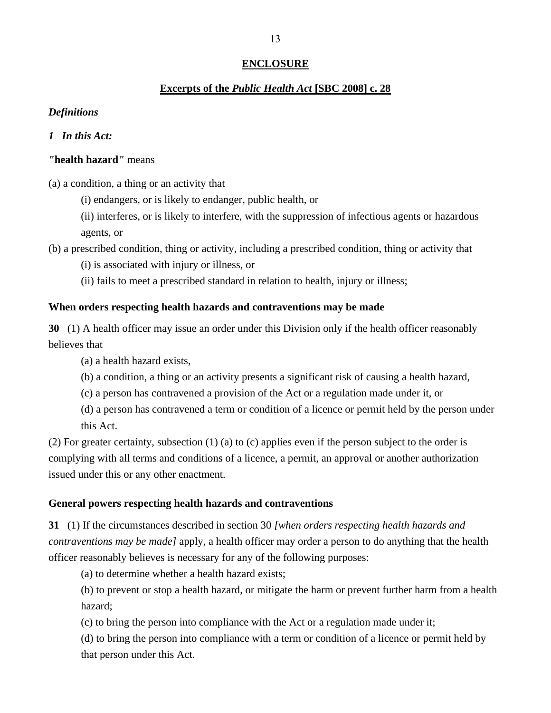## **ENCLOSURE**

### **Excerpts of the** *Public Health Act* **[SBC 2008] c. 28**

### *Definitions*

### *1 In this Act:*

### *"***health hazard***"* means

(a) a condition, a thing or an activity that

(i) endangers, or is likely to endanger, public health, or

(ii) interferes, or is likely to interfere, with the suppression of infectious agents or hazardous agents, or

(b) a prescribed condition, thing or activity, including a prescribed condition, thing or activity that

(i) is associated with injury or illness, or

(ii) fails to meet a prescribed standard in relation to health, injury or illness;

### **When orders respecting health hazards and contraventions may be made**

**30** (1) A health officer may issue an order under this Division only if the health officer reasonably believes that

(a) a health hazard exists,

(b) a condition, a thing or an activity presents a significant risk of causing a health hazard,

(c) a person has contravened a provision of the Act or a regulation made under it, or

(d) a person has contravened a term or condition of a licence or permit held by the person under this Act.

(2) For greater certainty, subsection (1) (a) to (c) applies even if the person subject to the order is complying with all terms and conditions of a licence, a permit, an approval or another authorization issued under this or any other enactment.

### **General powers respecting health hazards and contraventions**

**31** (1) If the circumstances described in section 30 *[when orders respecting health hazards and contraventions may be made]* apply, a health officer may order a person to do anything that the health officer reasonably believes is necessary for any of the following purposes:

(a) to determine whether a health hazard exists;

(b) to prevent or stop a health hazard, or mitigate the harm or prevent further harm from a health hazard;

(c) to bring the person into compliance with the Act or a regulation made under it;

(d) to bring the person into compliance with a term or condition of a licence or permit held by that person under this Act.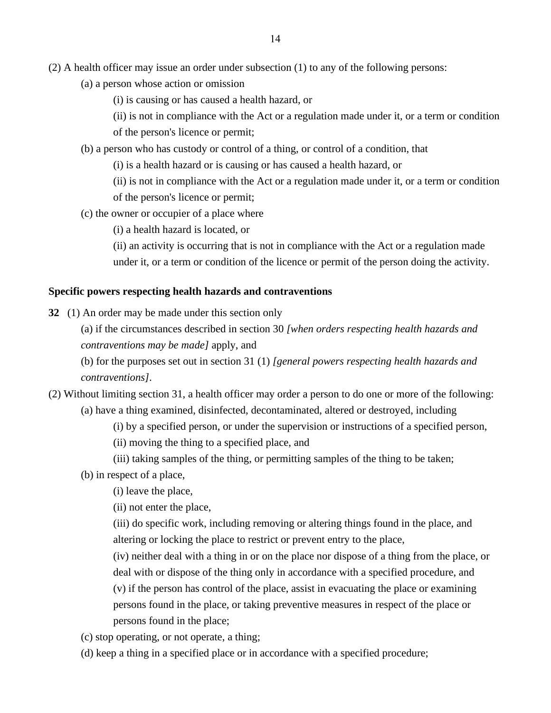- (2) A health officer may issue an order under subsection (1) to any of the following persons:
	- (a) a person whose action or omission
		- (i) is causing or has caused a health hazard, or
		- (ii) is not in compliance with the Act or a regulation made under it, or a term or condition
		- of the person's licence or permit;
	- (b) a person who has custody or control of a thing, or control of a condition, that
		- (i) is a health hazard or is causing or has caused a health hazard, or
		- (ii) is not in compliance with the Act or a regulation made under it, or a term or condition of the person's licence or permit;
	- (c) the owner or occupier of a place where
		- (i) a health hazard is located, or
		- (ii) an activity is occurring that is not in compliance with the Act or a regulation made under it, or a term or condition of the licence or permit of the person doing the activity.

### **Specific powers respecting health hazards and contraventions**

- **32** (1) An order may be made under this section only
	- (a) if the circumstances described in section 30 *[when orders respecting health hazards and contraventions may be made]* apply, and
	- (b) for the purposes set out in section 31 (1) *[general powers respecting health hazards and contraventions]*.
- (2) Without limiting section 31, a health officer may order a person to do one or more of the following: (a) have a thing examined, disinfected, decontaminated, altered or destroyed, including
	- (i) by a specified person, or under the supervision or instructions of a specified person,
	- (ii) moving the thing to a specified place, and
	- (iii) taking samples of the thing, or permitting samples of the thing to be taken;
	- (b) in respect of a place,
		- (i) leave the place,
		- (ii) not enter the place,
		- (iii) do specific work, including removing or altering things found in the place, and altering or locking the place to restrict or prevent entry to the place,
		- (iv) neither deal with a thing in or on the place nor dispose of a thing from the place, or deal with or dispose of the thing only in accordance with a specified procedure, and
		- (v) if the person has control of the place, assist in evacuating the place or examining persons found in the place, or taking preventive measures in respect of the place or persons found in the place;
	- (c) stop operating, or not operate, a thing;
	- (d) keep a thing in a specified place or in accordance with a specified procedure;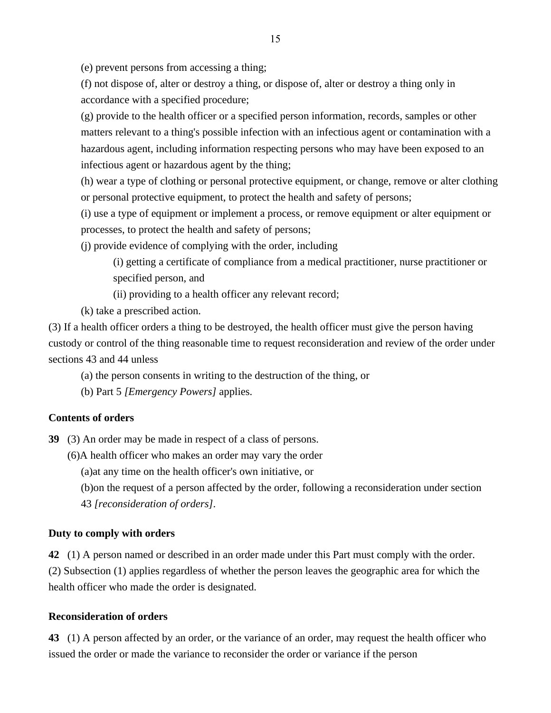(e) prevent persons from accessing a thing;

(f) not dispose of, alter or destroy a thing, or dispose of, alter or destroy a thing only in accordance with a specified procedure;

(g) provide to the health officer or a specified person information, records, samples or other matters relevant to a thing's possible infection with an infectious agent or contamination with a hazardous agent, including information respecting persons who may have been exposed to an infectious agent or hazardous agent by the thing;

(h) wear a type of clothing or personal protective equipment, or change, remove or alter clothing or personal protective equipment, to protect the health and safety of persons;

(i) use a type of equipment or implement a process, or remove equipment or alter equipment or processes, to protect the health and safety of persons;

(j) provide evidence of complying with the order, including

(i) getting a certificate of compliance from a medical practitioner, nurse practitioner or specified person, and

(ii) providing to a health officer any relevant record;

(k) take a prescribed action.

(3) If a health officer orders a thing to be destroyed, the health officer must give the person having custody or control of the thing reasonable time to request reconsideration and review of the order under sections 43 and 44 unless

(a) the person consents in writing to the destruction of the thing, or

(b) Part 5 *[Emergency Powers]* applies.

### **Contents of orders**

**39** (3) An order may be made in respect of a class of persons.

(6)A health officer who makes an order may vary the order

(a)at any time on the health officer's own initiative, or

(b)on the request of a person affected by the order, following a reconsideration under section

43 *[reconsideration of orders]*.

### **Duty to comply with orders**

**42** (1) A person named or described in an order made under this Part must comply with the order. (2) Subsection (1) applies regardless of whether the person leaves the geographic area for which the health officer who made the order is designated.

### **Reconsideration of orders**

**43** (1) A person affected by an order, or the variance of an order, may request the health officer who issued the order or made the variance to reconsider the order or variance if the person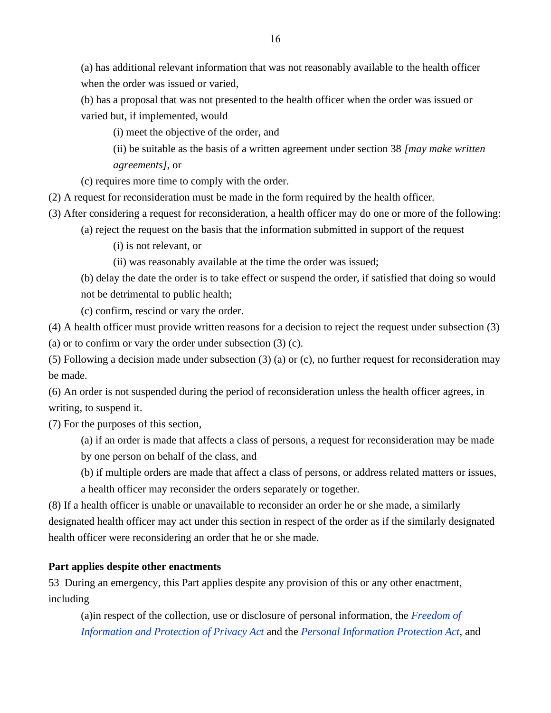(a) has additional relevant information that was not reasonably available to the health officer when the order was issued or varied,

(b) has a proposal that was not presented to the health officer when the order was issued or varied but, if implemented, would

(i) meet the objective of the order, and

(ii) be suitable as the basis of a written agreement under section 38 *[may make written agreements]*, or

(c) requires more time to comply with the order.

(2) A request for reconsideration must be made in the form required by the health officer.

(3) After considering a request for reconsideration, a health officer may do one or more of the following:

(a) reject the request on the basis that the information submitted in support of the request

(i) is not relevant, or

(ii) was reasonably available at the time the order was issued;

(b) delay the date the order is to take effect or suspend the order, if satisfied that doing so would not be detrimental to public health;

(c) confirm, rescind or vary the order.

(4) A health officer must provide written reasons for a decision to reject the request under subsection (3)

(a) or to confirm or vary the order under subsection (3) (c).

(5) Following a decision made under subsection (3) (a) or (c), no further request for reconsideration may be made.

(6) An order is not suspended during the period of reconsideration unless the health officer agrees, in writing, to suspend it.

(7) For the purposes of this section,

(a) if an order is made that affects a class of persons, a request for reconsideration may be made by one person on behalf of the class, and

(b) if multiple orders are made that affect a class of persons, or address related matters or issues,

a health officer may reconsider the orders separately or together.

(8) If a health officer is unable or unavailable to reconsider an order he or she made, a similarly designated health officer may act under this section in respect of the order as if the similarly designated health officer were reconsidering an order that he or she made.

## **Part applies despite other enactments**

53 During an emergency, this Part applies despite any provision of this or any other enactment, including

(a)in respect of the collection, use or disclosure of personal information, the *[Freedom of](https://www.bclaws.gov.bc.ca/civix/document/id/complete/statreg/96165_00)  [Information and Protection of Privacy Act](https://www.bclaws.gov.bc.ca/civix/document/id/complete/statreg/96165_00)* and the *[Personal Information Protection Act](https://www.bclaws.gov.bc.ca/civix/document/id/complete/statreg/03063_01)*, and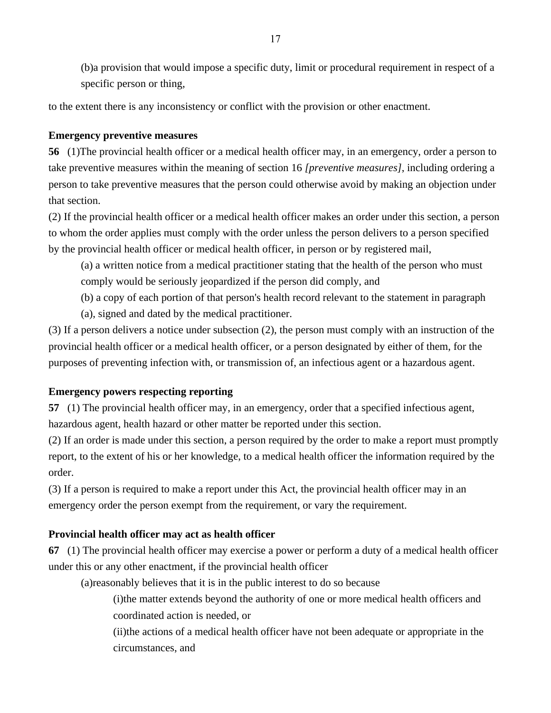(b)a provision that would impose a specific duty, limit or procedural requirement in respect of a specific person or thing,

to the extent there is any inconsistency or conflict with the provision or other enactment.

## **Emergency preventive measures**

**56** (1)The provincial health officer or a medical health officer may, in an emergency, order a person to take preventive measures within the meaning of section 16 *[preventive measures]*, including ordering a person to take preventive measures that the person could otherwise avoid by making an objection under that section.

(2) If the provincial health officer or a medical health officer makes an order under this section, a person to whom the order applies must comply with the order unless the person delivers to a person specified by the provincial health officer or medical health officer, in person or by registered mail,

(a) a written notice from a medical practitioner stating that the health of the person who must comply would be seriously jeopardized if the person did comply, and

(b) a copy of each portion of that person's health record relevant to the statement in paragraph

(a), signed and dated by the medical practitioner.

(3) If a person delivers a notice under subsection (2), the person must comply with an instruction of the provincial health officer or a medical health officer, or a person designated by either of them, for the purposes of preventing infection with, or transmission of, an infectious agent or a hazardous agent.

## **Emergency powers respecting reporting**

**57** (1) The provincial health officer may, in an emergency, order that a specified infectious agent, hazardous agent, health hazard or other matter be reported under this section.

(2) If an order is made under this section, a person required by the order to make a report must promptly report, to the extent of his or her knowledge, to a medical health officer the information required by the order.

(3) If a person is required to make a report under this Act, the provincial health officer may in an emergency order the person exempt from the requirement, or vary the requirement.

## **Provincial health officer may act as health officer**

**67** (1) The provincial health officer may exercise a power or perform a duty of a medical health officer under this or any other enactment, if the provincial health officer

(a)reasonably believes that it is in the public interest to do so because

(i)the matter extends beyond the authority of one or more medical health officers and coordinated action is needed, or

(ii)the actions of a medical health officer have not been adequate or appropriate in the circumstances, and